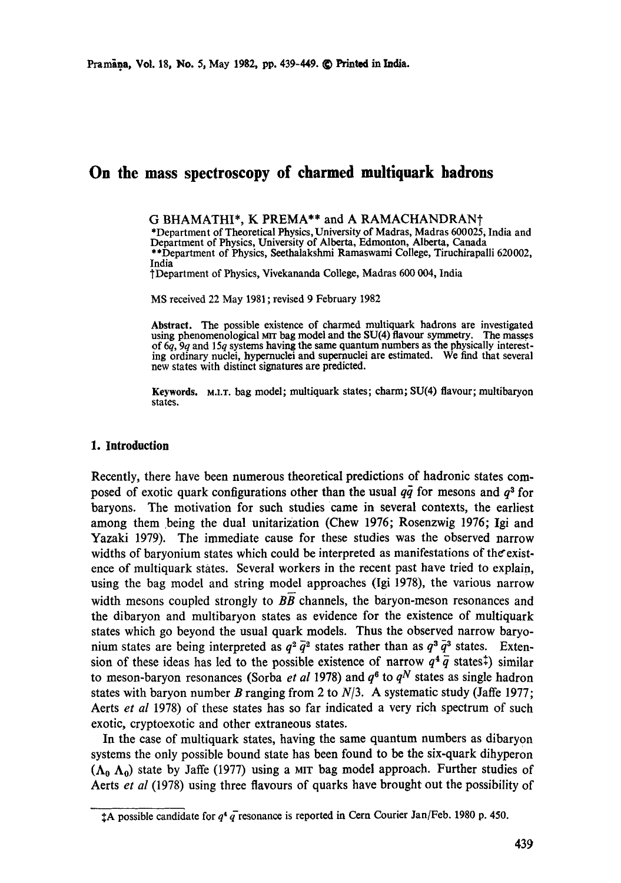# **On the mass spectroscopy of charmed multiquark hadrons**

G BHAMATHI\*, K PREMA\*\* and A RAMACHANDRAN<sup>+</sup> \*Department of Theoretical Physics, University of Madras, Madras 600025, India and Department of Physics, University of Alberta, Edmonton, Alberta, Canada \*\*Department of Physics, Seethalakshmi Ramaswami College, Tiruchirapalli 620002, India †Department of Physics, Vivekananda College, Madras 600 004, India

MS received 22 May 1981 ; revised 9 February 1982

**Abstract.** The possible existence of charmed multiquark hadrons are investigated using phenomenological MIT bag model and the SU(4) flavour symmetry. of 6q, 9q and 15q systems having the same quantum numbers as the physically interesting ordinary nuclei, hypernuclei and supemuclei are estimated. We find that several new states with distinct signatures are predicted.

**Keywords.** M.LT. bag model; multiquark states; charm; SU(4) flavour; multibaryon states.

# **1. Introduction**

Recently, there have been numerous theoretical predictions of hadronic states composed of exotic quark configurations other than the usual  $q\bar{q}$  for mesons and  $q^3$  for baryons. The motivation for such studies Came in several contexts, the earliest among them being the dual unitarization (Chew 1976; Rosenzwig 1976; Igi and Yazaki 1979). The immediate cause for these studies was the observed narrow widths of baryonium states which could be interpreted as manifestations of the existence of multiquark states. Several workers in the recent past have tried to explain, using the bag model and string model approaches (Igi 1978), the various narrow width mesons coupled strongly to *BB* channels, the baryon-meson resonances and the dibaryon and multibaryon states as evidence for the existence of multiquark states which go beyond the usual quark models. Thus the observed narrow baryonium states are being interpreted as  $q^2 \bar{q}^2$  states rather than as  $q^3 \bar{q}^3$  states. Extension of these ideas has led to the possible existence of narrow  $q^4 \bar{q}$  states<sup> $\ddagger$ </sup>) similar to meson-baryon resonances (Sorba *et al* 1978) and  $q^6$  to  $q^N$  states as single hadron states with baryon number B ranging from 2 to  $N/3$ . A systematic study (Jaffe 1977; Aerts *et al* 1978) of these states has so far indicated a very rich spectrum of such exotic, cryptoexotic and other extraneous states.

In the case of multiquark states, having the same quantum numbers as dibaryon systems the only possible bound state has been found to be the six-quark dihyperon  $(\Lambda_0, \Lambda_0)$  state by Jaffe (1977) using a MIT bag model approach. Further studies of Aerts *et al* (1978) using three flavours of quarks have brought out the possibility of

**<sup>1</sup>A** possible candidate for  $q^4$  q resonance is reported in Cern Courier Jan/Feb. 1980 p. 450.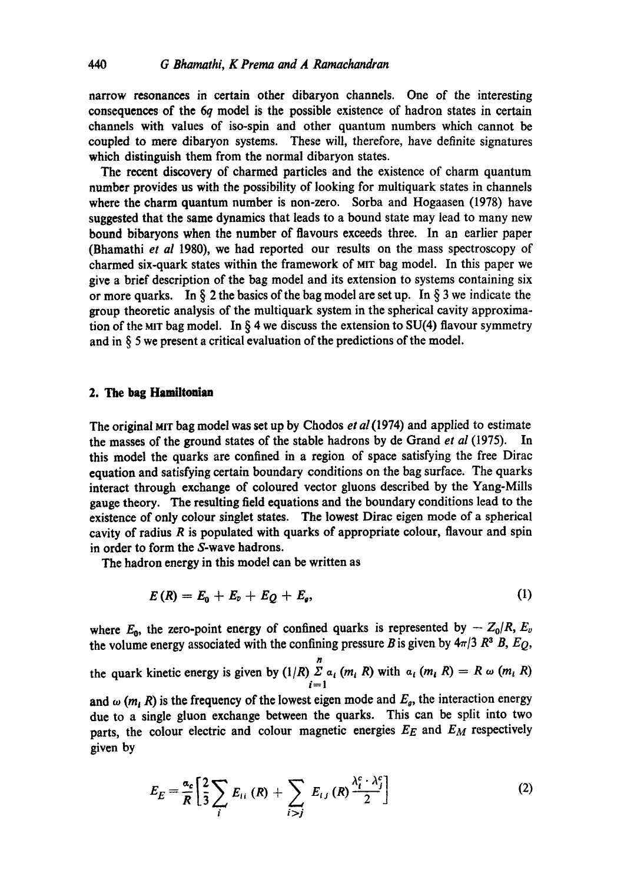narrow resonances in certain other dibaryon channels. One of the interesting consequences of the 6q model is the possible existence of hadron states in certain channels with values of iso-spin and other quantum numbers which cannot be coupled to mere dibaryon systems. These will, therefore, have definite signatures which distinguish them from the normal dibaryon states.

The recent discovery of charmed particles and the existence of charm quantum number provides us with the possibility of looking for multiquark states in channels where the charm quantum number is non-zero. Sorba and Hogaasen (1978) have suggested that the same dynamics that leads to a bound state may lead to many new bound bibaryons when the number of flavours exceeds three. In an earlier paper (Bhamathi *et al* 1980), we had reported our results on the mass spectroscopy of charmed six-quark states within the framework of MIT bag model. In this paper we give a brief description of the bag model and its extension to systems containing six or more quarks. In § 2 the basics of the bag model are set up. In § 3 we indicate the group theoretic analysis of the multiquark system in the spherical cavity approximation of the MIT bag model. In  $\S$  4 we discuss the extension to SU(4) flavour symmetry and in § 5 we present a critical evaluation of the predictions of the model.

### **2. The bag Hamiltonian**

The original MIT bag model was set up by Chodos *et al* (1974) and applied to estimate the masses of the ground states of the stable hadrons by de Grand *et al* (1975). this model the quarks are confined in a region of space satisfying the free Dirac equation and satisfying certain boundary conditions on the bag surface. The quarks interact through exchange of coloured vector gluons described by the Yang-Mills gauge theory. The resulting field equations and the boundary conditions lead to the existence of only colour singlet states. The lowest Dirac eigen mode of a spherical cavity of radius  $R$  is populated with quarks of appropriate colour, flavour and spin in order to form the S-wave hadrons.

The hadron energy in this model can be written as

$$
E(R) = E_0 + E_0 + E_Q + E_g, \qquad (1)
$$

where  $E_0$ , the zero-point energy of confined quarks is represented by  $- Z_0/R$ ,  $E_v$ the volume energy associated with the confining pressure B is given by  $4\pi/3$  R<sup>3</sup> B, E<sub>Q</sub>,

the quark kinetic energy is given by  $(1/R) \sum_{i=1}^{n} a_i (m_i, R)$  with  $a_i (m_i, R) = R \omega (m_i, R)$ *i=1* 

and  $\omega$  ( $m_t$  R) is the frequency of the lowest eigen mode and  $E_g$ , the interaction energy due to a single gluon exchange between the quarks. This can be split into two parts, the colour electric and colour magnetic energies *EE* and *EM* respectively given by

$$
E_E = \frac{\alpha_c}{R} \left[ \frac{2}{3} \sum_i E_{ii} \left( R \right) + \sum_{i > j} E_{ij} \left( R \right) \frac{\lambda_i^c \cdot \lambda_j^c}{2} \right] \tag{2}
$$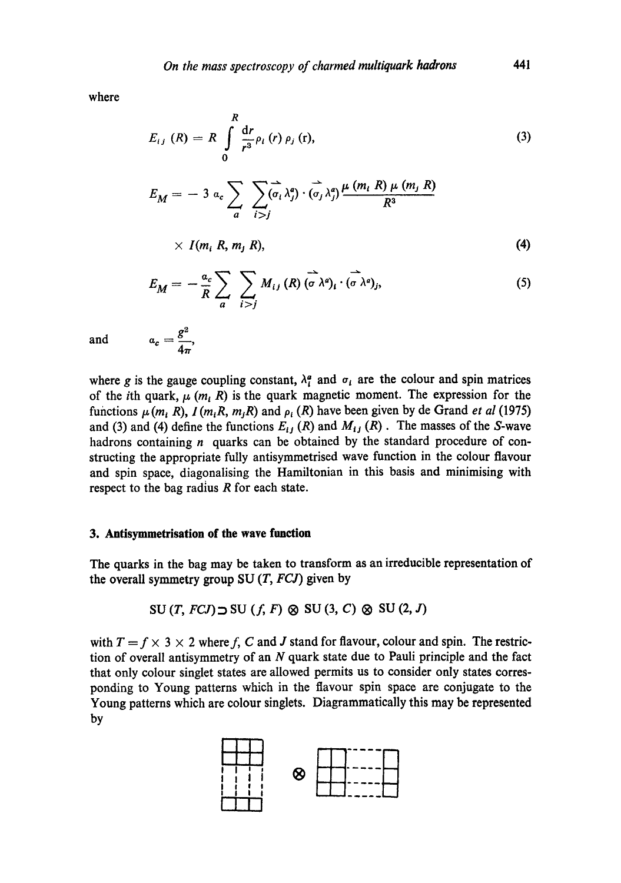where

$$
E_{ij} (R) = R \int_{0}^{R} \frac{dr}{r^3} \rho_l (r) \rho_j (r),
$$
 (3)

$$
E_M = -3 \, \alpha_c \sum_{a} \sum_{i>j} (\vec{\sigma}_i \lambda_j^a) \cdot (\vec{\sigma}_j \lambda_j^a) \frac{\mu (m_i \, R) \mu (m_j \, R)}{R^3}
$$

$$
\times\ I(m_i\ R,\ m_j\ R),\tag{4}
$$

$$
E_M = -\frac{a_c}{R} \sum_{a} \sum_{i > j} M_{ij} (R) (\vec{\sigma} \lambda^a)_i \cdot (\vec{\sigma} \lambda^a)_j, \qquad (5)
$$

and 
$$
a_c = \frac{g^2}{4\pi}
$$
,

where g is the gauge coupling constant,  $\lambda_i^a$  and  $\sigma_i$  are the colour and spin matrices of the *i*th quark,  $\mu$  (*m*, *R*) is the quark magnetic moment. The expression for the functions  $\mu$  ( $m_i$  R),  $I$  ( $m_i$ R,  $m_j$ R) and  $\rho_i$  (R) have been given by de Grand *et al* (1975) and (3) and (4) define the functions  $E_{ij}(R)$  and  $M_{ij}(R)$ . The masses of the S-wave hadrons containing  $n$  quarks can be obtained by the standard procedure of constructing the appropriate fully antisymmetrised wave function in the colour flavour and spin space, diagonalising the Hamiltonian in this basis and minimising with respect to the bag radius  $R$  for each state.

### **3. Antisymmetrisation of the wave function**

The quarks in the bag may be taken to transform as an irreducible representation of the overall symmetry group SU *(T, FCJ)* given by

$$
SU(T, FCJ) \supset SU(f, F) \otimes SU(3, C) \otimes SU(2, J)
$$

with  $T = f \times 3 \times 2$  where f, C and J stand for flavour, colour and spin. The restriction of overall antisymmetry of an  $N$  quark state due to Pauli principle and the fact that only colour singlet states are allowed permits us to consider only states corresponding to Young patterns which in the flavour spin space are conjugate to the Young patterns which are colour singlets. Diagrammatically this may be represented by

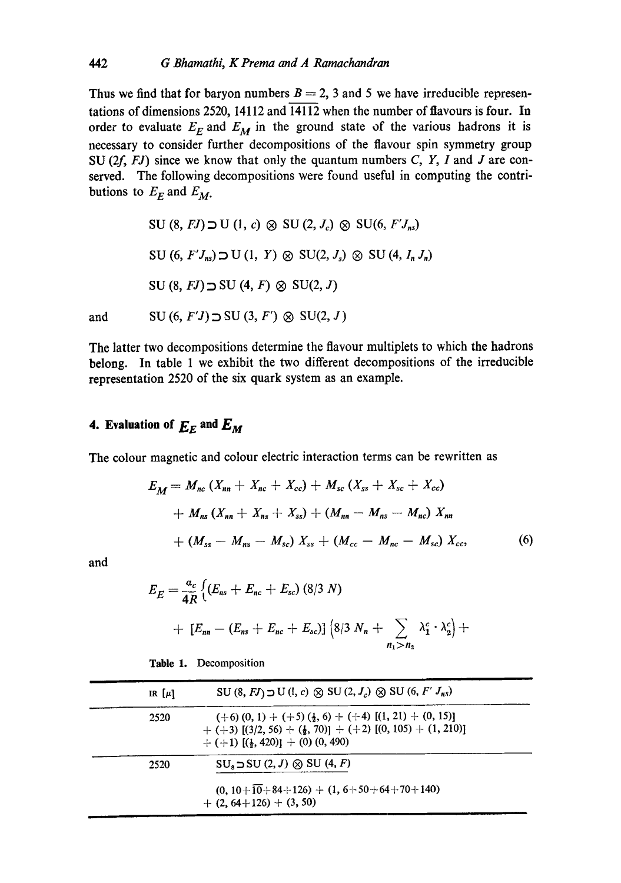Thus we find that for baryon numbers  $B = 2$ , 3 and 5 we have irreducible representations of dimensions 2520, 14112 and 14112 when the number of flavours is four. In order to evaluate  $E_F$  and  $E_M$  in the ground state of the various hadrons it is necessary to consider further decompositions of the flavour spin symmetry group SU  $(2f, FJ)$  since we know that only the quantum numbers C, Y, I and J are conserved. The following decompositions were found useful in computing the contributions to  $E_F$  and  $E_M$ .

 $SU(8, FJ) \supset U(1, c) \otimes SU(2, J_c) \otimes SU(6, F'J_{ns})$ SU (6,  $F'J_{ns}$ )  $\supset U(1, Y) \otimes SU(2, J_s) \otimes SU(4, J_n, J_n)$  $SU(8, FJ) \supset SU(4, F) \otimes SU(2, J)$ and SU (6,  $F'J$ )  $\supset$  SU (3,  $F'$ )  $\otimes$  SU(2, J)

The latter two decompositions determine the flavour multiplets to which the hadrons belong. In table 1 we exhibit the two different decompositions of the irreducible representation 2520 of the six quark system as an example.

# **4. Evaluation of**  $E<sub>E</sub>$  **and**  $E<sub>M</sub>$

The colour magnetic and colour electric interaction terms can be rewritten as

$$
E_M = M_{nc} (X_{nn} + X_{nc} + X_{cc}) + M_{sc} (X_{ss} + X_{sc} + X_{cc})
$$
  
+  $M_{ns} (X_{nn} + X_{ns} + X_{ss}) + (M_{nn} - M_{ns} - M_{nc}) X_{nn}$   
+  $(M_{ss} - M_{ns} - M_{sc}) X_{ss} + (M_{cc} - M_{nc} - M_{sc}) X_{cc},$  (6)

and

$$
E_E = \frac{a_c}{4R} \left\{ (E_{ns} + E_{nc} + E_{sc}) (8/3 N) + [E_{nn} - (E_{ns} + E_{nc} + E_{sc})] (8/3 N_n + \sum_{n_1 > n_2} \lambda_1^c \cdot \lambda_2^c) + \right\}
$$

| IR $[\mu]$ | SU $(8, FJ)$ $\supset U(1, c)$ $\otimes$ SU $(2, J_c)$ $\otimes$ SU $(6, F' J_{ns})$                                                                                                              |  |
|------------|---------------------------------------------------------------------------------------------------------------------------------------------------------------------------------------------------|--|
| 2520       | $(+6)$ (0, 1) + (+5) ( $\frac{1}{2}$ , 6) + (+4) [(1, 21) + (0, 15)]<br>+ (+3) $[(3/2, 56) + (\frac{1}{2}, 70)] + (+2) [(0, 105) + (1, 210)]$<br>$+ (+1)$ [( $\frac{1}{2}$ , 420)] + (0) (0, 490) |  |
| 2520       | $SU_3 \supset SU(2, J) \otimes SU(4, F)$<br>$(0, 10 + 10 + 84 + 126) + (1, 6 + 50 + 64 + 70 + 140)$<br>$+$ (2, 64+126) + (3, 50)                                                                  |  |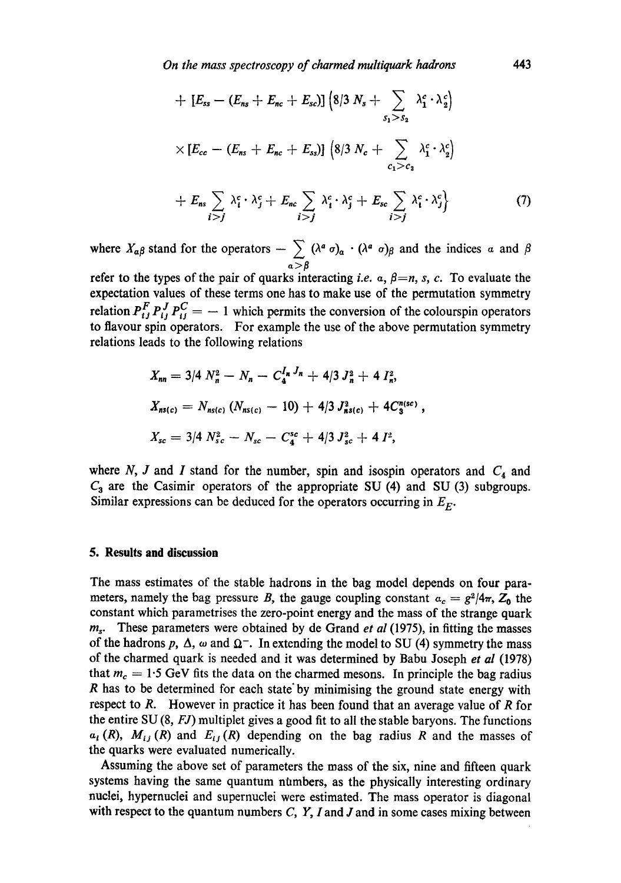+ 
$$
[E_{ss} - (E_{ns} + E_{nc} + E_{sc})]
$$
  $\left( 8/3 N_s + \sum_{s_1 > s_2} \lambda_1^c \cdot \lambda_2^c \right)$   
\n $\times [E_{cc} - (E_{ns} + E_{nc} + E_{ss})]$   $\left( 8/3 N_c + \sum_{c_1 > c_2} \lambda_1^c \cdot \lambda_2^c \right)$   
\n+  $E_{ns} \sum_{i > j} \lambda_i^c \cdot \lambda_j^c + E_{nc} \sum_{i > j} \lambda_i^c \cdot \lambda_j^c + E_{sc} \sum_{i > j} \lambda_i^c \cdot \lambda_j^c \right\}$  (7)

where  $X_{\alpha\beta}$  stand for the operators  $-\sum_{\alpha>\beta} (\lambda^a \sigma)_\alpha \cdot (\lambda^a \sigma)_\beta$  and the indices  $\alpha$  and  $\beta$ refer to the types of the pair of quarks interacting *i.e.*  $\alpha$ ,  $\beta = n$ , *s*, *c.* To evaluate the expectation values of these terms one has to make use of the permutation symmetry

relation  $P_t^T P_t^T P_{tt}^T = -1$  which permits the conversion of the colourspin operators to flavour spin operators. For example the use of the above permutation symmetry relations leads to the following relations

$$
X_{nn} = 3/4 N_n^2 - N_n - C_4^{I_n J_n} + 4/3 J_n^2 + 4 I_n^2,
$$
  
\n
$$
X_{ns(c)} = N_{ns(c)} (N_{ns(c)} - 10) + 4/3 J_{ns(c)}^2 + 4 C_3^{n(sc)},
$$
  
\n
$$
X_{sc} = 3/4 N_{sc}^2 - N_{sc} - C_4^{sc} + 4/3 J_{sc}^2 + 4 I^2,
$$

where N, J and I stand for the number, spin and isospin operators and  $C_4$  and  $C_3$  are the Casimir operators of the appropriate SU (4) and SU (3) subgroups. Similar expressions can be deduced for the operators occurring in  $E_F$ .

### **5. Results and discussion**

The mass estimates of the stable hadrons in the bag model depends on four parameters, namely the bag pressure B, the gauge coupling constant  $a_c = g^2/4\pi$ ,  $Z_0$  the constant which parametrises the zero-point energy and the mass of the strange quark  $m<sub>s</sub>$ . These parameters were obtained by de Grand *et al* (1975), in fitting the masses of the hadrons p,  $\Delta$ ,  $\omega$  and  $\Omega^-$ . In extending the model to SU (4) symmetry the mass of the charmed quark is needed and it was determined by Babu Joseph *et al* (1978) that  $m_c = 1.5$  GeV fits the data on the charmed mesons. In principle the bag radius R has to be determined for each state" by minimising the ground state energy with respect to  $R$ . However in practice it has been found that an average value of  $R$  for the entire SU (8, *FJ)* multiplet gives a good fit to all the stable baryons. The functions  $a_i(R)$ ,  $M_{ij}(R)$  and  $E_{ij}(R)$  depending on the bag radius R and the masses of the quarks were evaluated numerically.

Assuming the above set of parameters the mass of the six, nine and fifteen quark systems having the same quantum numbers, as the physically interesting ordinary nuclei, hypernuclei and supernuclei were estimated. The mass operator is diagonal with respect to the quantum numbers  $C$ ,  $Y$ , I and J and in some cases mixing between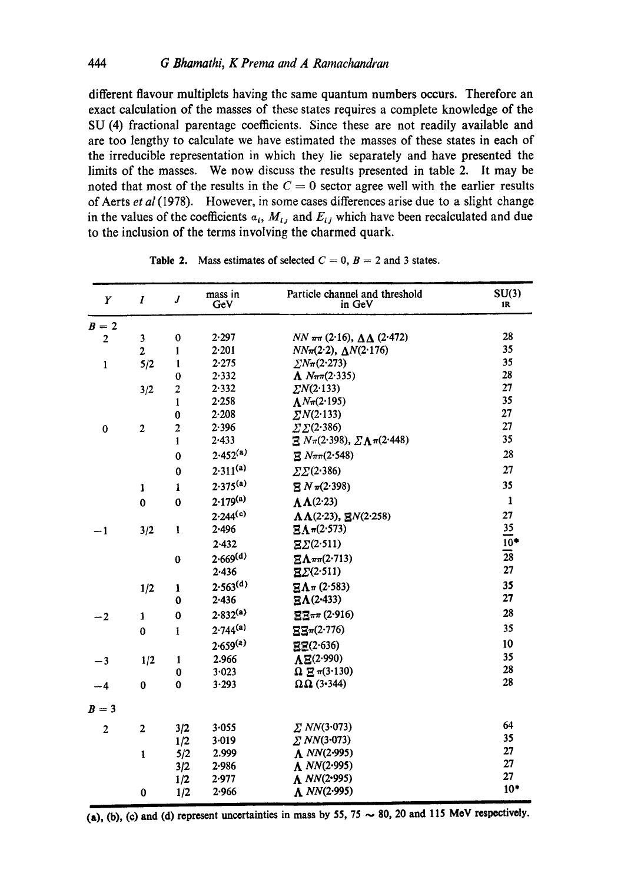different flavour multiplets having the same quantum numbers occurs. Therefore an exact calculation of the masses of these states requires a complete knowledge of the SU (4) fractional parentage coefficients. Since these are not readily available and are too lengthy to calculate we have estimated the masses of these states in each of the irreducible representation in which they lie separately and have presented the limits of the masses. We now discuss the results presented in table 2. It may be noted that most of the results in the  $C = 0$  sector agree well with the earlier results of Aerts *et al* (1978). However, in some cases differences arise due to a slight change in the values of the coefficients  $a_i$ ,  $M_{ij}$  and  $E_{ij}$  which have been recalculated and due to the inclusion of the terms involving the charmed quark.

| Y              | $\overline{I}$ | $\overline{J}$ | mass in<br>GeV       | Particle channel and threshold<br>in GeV          | SU(3)<br>IR.    |
|----------------|----------------|----------------|----------------------|---------------------------------------------------|-----------------|
| $B=2$          |                |                |                      |                                                   |                 |
| $\overline{2}$ | 3              | 0              | 2.297                | <i>NN</i> $ππ$ (2·16), $ΔΔ$ (2·472)               | 28              |
|                | $\overline{2}$ | $\mathbf{1}$   | 2.201                | $NN\pi(2\cdot2), \Delta N(2\cdot176)$             | 35              |
| 1              | 5/2            | $\mathbf{1}$   | 2.275                | $\sum N_{\pi}(2.273)$                             | 35              |
|                |                | $\bf{0}$       | 2.332                | $\Lambda N\pi\pi(2.335)$                          | 28              |
|                | 3/2            | $\overline{c}$ | 2.332                | $\sum N(2.133)$                                   | 27              |
|                |                | $\mathbf{1}$   | 2.258                | $\Lambda N \pi (2.195)$                           | 35              |
|                |                | $\bf{0}$       | $2 - 208$            | $\sum N(2.133)$                                   | 27              |
| $\pmb{0}$      | $\overline{c}$ | $\overline{c}$ | 2.396                | $\sum \sum (2.386)$                               | 27              |
|                |                | $\mathbf{1}$   | 2.433                | $\Xi N_{\pi}(2.398), \Sigma \Lambda_{\pi}(2.448)$ | 35              |
|                |                | $\bf{0}$       | $2.452^{(a)}$        | $\Xi N\pi\pi(2.548)$                              | 28              |
|                |                | $\bf{0}$       | $2.311^{(a)}$        | $\Sigma\Sigma(2.386)$                             | 27              |
|                | $\mathbf{1}$   | $\mathbf{1}$   | $2.375^{(a)}$        | $\Xi N \pi (2.398)$                               | 35              |
|                | $\mathbf 0$    | $\bf{0}$       | $2.179^{(a)}$        | $\Lambda\Lambda$ (2.23)                           | $\mathbf{1}$    |
|                |                |                | 2.244 <sup>(c)</sup> | $\Lambda\Lambda$ (2.23), EN(2.258)                | 27              |
| $-1$           | 3/2            | 1              | 2.496                | $\Xi \Lambda \pi (2.573)$                         | 35              |
|                |                |                | 2.432                | $\Xi\Sigma(2.511)$                                | $10^*$          |
|                |                | $\bf{0}$       | 2.669 <sup>(d)</sup> | $E\Lambda \pi \pi (2.713)$                        | $\overline{28}$ |
|                |                |                | 2.436                | $\mathbb{E}\Sigma(2.511)$                         | 27              |
|                | 1/2            | $\mathbf{1}$   | $2.563^{(d)}$        | $\Xi \Lambda \pi$ (2.583)                         | 35              |
|                |                | $\bf{0}$       | 2.436                | $E\Lambda(2-433)$                                 | 27              |
| $-2$           | 1              | $\bf{0}$       | $2.832^{(a)}$        | $\Xi\Xi\pi\pi$ (2.916)                            | 28              |
|                | $\bf{0}$       | $\mathbf{1}$   | $2.744^{(a)}$        | ΞΞπ(2·776)                                        | 35              |
|                |                |                | $2.659^{(a)}$        | EE(2.636)                                         | 10              |
| $-3$           | 1/2            | $\mathbf{1}$   | 2.966                | $\Lambda$ E(2.990)                                | 35              |
|                |                | 0              | 3.023                | $\Omega \equiv \pi(3.130)$                        | 28              |
| $-4$           | $\bf{0}$       | $\bf{0}$       | 3.293                | $\Omega$ $\Omega$ (3.344)                         | 28              |
| $B=3$          |                |                |                      |                                                   |                 |
| $\overline{2}$ | $\overline{2}$ | 3/2            | $3 - 055$            | $\Sigma$ NN(3.073)                                | 64              |
|                |                | 1/2            | 3.019                | $\Sigma NN(3.073)$                                | 35              |
|                | $\mathbf{1}$   | 5/2            | 2.999                | $\Lambda$ NN(2.995)                               | 27              |
|                |                | 3/2            | 2.986                | $\Lambda$ NN(2.995)                               | 27              |
|                |                | 1/2            | 2.977                | $\Lambda$ NN(2.995)                               | 27              |
|                | $\bf{0}$       | 1/2            | 2.966                | $\Lambda$ NN(2.995)                               | $10*$           |

Table 2. Mass estimates of selected  $C = 0$ ,  $B = 2$  and 3 states.

(a), (b), (c) and (d) represent uncertainties in mass by 55,  $75 \sim 80$ , 20 and 115 MeV respectively.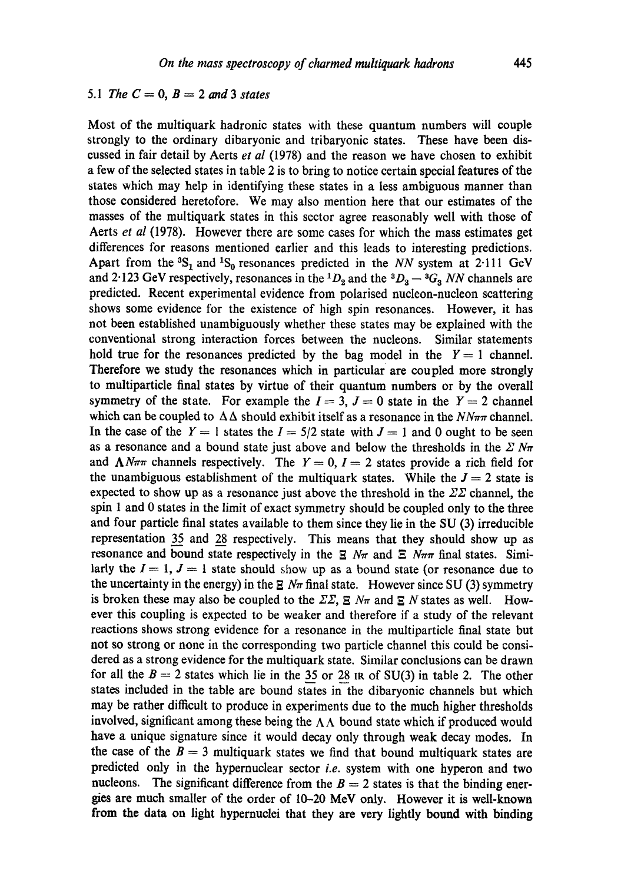# *5.1 The*  $C = 0$ ,  $B = 2$  and 3 *states*

Most of the multiquark hadronic states with these quantum numbers will couple strongly to the ordinary dibaryonic and tribaryonic states. These have been discussed in fair detail by Aerts *et al* (1978) and the reason we have chosen to exhibit a few of the selected states in table 2 is to bring to notice certain special features of the states which may help in identifying these states in a less ambiguous manner than those considered heretofore. We may also mention here that our estimates of the masses of the multiquark states in this sector agree reasonably well with those of Aerts *et al* (1978). However there are some cases for which the mass estimates get differences for reasons mentioned earlier and this leads to interesting predictions. Apart from the  ${}^{3}S_1$  and  ${}^{1}S_0$  resonances predicted in the *NN* system at 2-111 GeV and 2.123 GeV respectively, resonances in the <sup>1</sup> $D_2$  and the <sup>3</sup> $D_3 - {}^3G_3$  *NN* channels are predicted. Recent experimental evidence from polarised nucleon-nucleon scattering shows some evidence for the existence of high spin resonances. However, it has not been established unambiguously whether these states may be explained with the conventional strong interaction forces between the nucleons. Similar statements hold true for the resonances predicted by the bag model in the  $Y = 1$  channel. Therefore we study the resonances which in particular are coupled more strongly to multiparticle final states by virtue of their quantum numbers or by the overall symmetry of the state. For example the  $I = 3$ ,  $J = 0$  state in the  $Y = 2$  channel which can be coupled to  $\Delta\Delta$  should exhibit itself as a resonance in the  $N\gamma\pi\tau$  channel. In the case of the  $Y = 1$  states the  $I = 5/2$  state with  $J = 1$  and 0 ought to be seen as a resonance and a bound state just above and below the thresholds in the  $\mathbb{Z} N \pi$ and  $\Lambda N\pi\pi$  channels respectively. The  $Y = 0$ ,  $I = 2$  states provide a rich field for the unambiguous establishment of the multiquark states. While the  $J = 2$  state is expected to show up as a resonance just above the threshold in the  $\mathbb{Z}\mathbb{Z}$  channel, the spin 1 and 0 states in the limit of exact symmetry should be coupled only to the three and four particle final states available to them since they lie in the SU (3) irreducible representation 35 and 28 respectively. This means that they should show up as resonance and bound state respectively in the  $\Xi$  N $\pi$  and  $\Xi$  N $\pi$  final states. Similarly the  $I = 1$ ,  $J = 1$  state should show up as a bound state (or resonance due to the uncertainty in the energy) in the  $\Xi$  N $\pi$  final state. However since SU (3) symmetry is broken these may also be coupled to the  $\Sigma \Sigma$ ,  $\Sigma$   $N_{\pi}$  and  $\Sigma$  N states as well. However this coupling is expected to be weaker and therefore if a study of the relevant reactions shows strong evidence for a resonance in the multiparticle final state but not so strong or none in the corresponding two particle channel this could be considered as a strong evidence for the multiquark state. Similar conclusions can be drawn for all the  $B = 2$  states which lie in the 35 or 28 IR of SU(3) in table 2. The other states included in the table are bound states in the dibaryonic channels but which may be rather difficult to produce in experiments due to the much higher thresholds involved, significant among these being the  $\Lambda\Lambda$  bound state which if produced would have a unique signature since it would decay only through weak decay modes. In the case of the  $B = 3$  multiquark states we find that bound multiquark states are predicted only in the hypernuclear sector *i.e.* system with one hyperon and two nucleons. The significant difference from the  $B = 2$  states is that the binding energies are much smaller of the order of 10-20 MeV only. However it is well-known from the data on light hypernuclei that they are very lightly bound with binding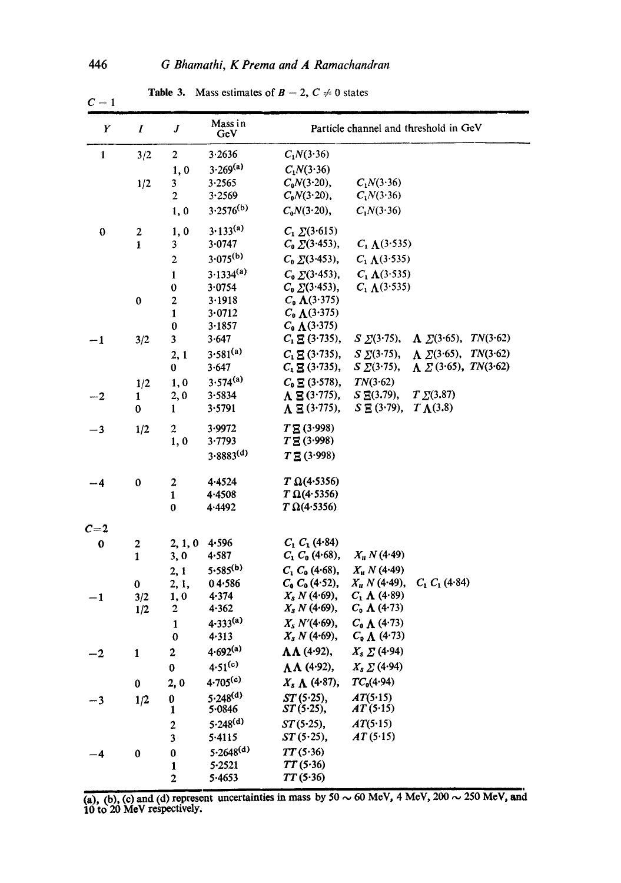| Y            | $\boldsymbol{I}$ | J                       | Mass in<br>GeV       |                              |                       | Particle channel and threshold in GeV |
|--------------|------------------|-------------------------|----------------------|------------------------------|-----------------------|---------------------------------------|
| $\mathbf{1}$ | 3/2              | $\mathbf{2}$            | 3.2636               | $C_1N(3.36)$                 |                       |                                       |
|              |                  | 1,0                     | $3.269^{(a)}$        | $C_1N(3.36)$                 |                       |                                       |
|              | 1/2              | 3                       | 3.2565               | $C_0N(3.20)$ ,               | $C_1N(3.36)$          |                                       |
|              |                  | 2                       | 3.2569               | $C_0N(3.20)$ ,               | $C_1N(3.36)$          |                                       |
|              |                  | 1,0                     | $3.2576^{(b)}$       | $C_0N(3.20)$ ,               | $C_1N(3.36)$          |                                       |
| $\bf{0}$     | $\mathbf{2}$     | 1,0                     | $3.133^{(a)}$        | $C_1 \Sigma(3.615)$          |                       |                                       |
|              | 1                | 3                       | 3.0747               | $C_0 \Sigma(3.453),$         | $C_1 \Lambda(3.535)$  |                                       |
|              |                  | $\mathbf{2}$            | $3.075^{(b)}$        | $C_0 \Sigma(3.453)$ ,        | $C_1 \Lambda(3.535)$  |                                       |
|              |                  | $\mathbf{1}$            | $3.1334^{(a)}$       | $C_0 \Sigma(3.453)$ ,        | $C_1 \Lambda$ (3.535) |                                       |
|              |                  | $\bf{0}$                | 3.0754               | $C_0 \Sigma(3.453),$         | $C_1 \Lambda$ (3.535) |                                       |
|              | $\bf{0}$         | 2                       | 3.1918               | $C_0 \Lambda(3.375)$         |                       |                                       |
|              |                  | $\mathbf{1}$            | 3.0712               | $C_0 \Lambda(3.375)$         |                       |                                       |
|              |                  | $\pmb{0}$               | 3.1857               | $C_0 \Lambda(3.375)$         |                       |                                       |
| $-1$         | 3/2              | 3                       | 3.647                | $C_1 \boxtimes (3.735),$     | $S \Sigma(3.75),$     | $\Lambda \Sigma(3.65), TN(3.62)$      |
|              |                  | 2,1                     | $3.581^{(a)}$        | $C_1 \mathbf{E} (3.735),$    | $S \Sigma(3.75)$ ,    | $\Lambda \Sigma(3.65)$ , TN(3.62)     |
|              |                  | 0                       | 3.647                | $C_1 \mathbf{E}$ (3.735),    | $S \Sigma(3.75)$ ,    | $\Lambda \Sigma$ (3.65), TN(3.62)     |
|              | 1/2              | 1,0                     | $3.574^{(a)}$        | $C_0 \mathbf{E} (3.578),$    | TN(3.62)              |                                       |
| $-2$         | 1                | 2,0                     | 3.5834               | $\Lambda \boxtimes (3.775),$ | $S \to (3.79)$ ,      | $T \Sigma(3.87)$                      |
|              | 0                | 1                       | 3.5791               | $\Lambda \Xi$ (3.775),       | $S \to (3.79)$ ,      | $T \Lambda(3.8)$                      |
| $-3$         | 1/2              | 2                       | 3.9972               | $T \mathbf{E} (3.998)$       |                       |                                       |
|              |                  | 1,0                     | 3.7793               | $T \Xi (3.998)$              |                       |                                       |
|              |                  |                         | $3.8883^{(d)}$       | $T \Xi (3.998)$              |                       |                                       |
| --4          | 0                | $\overline{\mathbf{c}}$ | 4.4524               | $T \Omega(4.5356)$           |                       |                                       |
|              |                  | 1                       | 4.4508               | $T \Omega(4.5356)$           |                       |                                       |
|              |                  | 0                       | 4.4492               | $T\Omega(4.5356)$            |                       |                                       |
| $C=2$        |                  |                         |                      |                              |                       |                                       |
| 0            | $\mathbf{2}$     | 2, 1, 0                 | 4.596                | $C_1 C_1 (4.84)$             |                       |                                       |
|              | $\mathbf{1}$     | 3, 0                    | 4.587                | $C_1 C_0 (4.68)$ ,           | $X_u N(4.49)$         |                                       |
|              |                  | 2, 1                    | $5.585^{(b)}$        | $C_1 C_0 (4.68)$ ,           | $X_u N(4.49)$         |                                       |
|              | $\mathbf 0$      | 2, 1,                   | $04 - 586$           | $C_0 C_0 (4.52)$ ,           | $X_u N$ (4.49),       | $C_1 C_1 (4.84)$                      |
| $-1$         | 3/2              | 1, 0                    | 4.374                | $X_s N$ (4.69),              | $C_1 \Lambda (4.89)$  |                                       |
|              | 1/2              | $\boldsymbol{2}$        | 4.362                | $X_s N(4.69)$ ,              | $C_0 \Lambda (4.73)$  |                                       |
|              |                  | $\mathbf{1}$            | $4.333^{(a)}$        | $X_s N'(4.69)$ ,             | $C_0 \Lambda$ (4.73)  |                                       |
|              |                  | 0                       | 4.313                | $X_s N(4.69)$ ,              | $C_9 \Lambda$ (4.73)  |                                       |
| -2           | $\mathbf{1}$     | $\mathbf{2}$            | $4.692^{(a)}$        | $\Lambda\Lambda$ (4.92),     | $X_s \sum (4.94)$     |                                       |
|              |                  | 0                       | $4.51^{(c)}$         | $\Lambda\Lambda$ (4.92),     | $X_s \sum (4.94)$     |                                       |
|              | 0                | 2,0                     | $4.705^{(c)}$        | $X_s \Lambda$ (4.87),        | $TC_0(4.94)$          |                                       |
| $-3$         | 1/2              | 0                       | $5.248^{(d)}$        | ST(5.25),                    | AT(5.15)              |                                       |
|              |                  | 1                       | 5.0846               | $ST(5.25)$ ,                 | AT(5.15)              |                                       |
|              |                  | $\overline{\mathbf{c}}$ | 5.248 <sup>(d)</sup> | $ST(5.25)$ ,                 | AT(5.15)              |                                       |
|              |                  | 3                       | 5.4115               | $ST(5.25)$ ,                 | AT(5.15)              |                                       |
| -4           | 0                | $\pmb{0}$               | $5.2648^{(d)}$       | TT(5.36)                     |                       |                                       |
|              |                  | $\mathbf{1}$            | $5 - 2521$           | TT(5.36)                     |                       |                                       |
|              |                  | $\overline{\mathbf{c}}$ | 5.4653               | TT(5.36)                     |                       |                                       |

**Table 3.** Mass estimates of  $B = 2$ ,  $C \neq 0$  states

(a), (b), (c) and (d) represent uncertainties in mass by  $50 \sim 60$  MeV,  $4$  MeV,  $200 \sim 250$  MeV, and **10 to 20 MeV respectively.** 

 $C=1$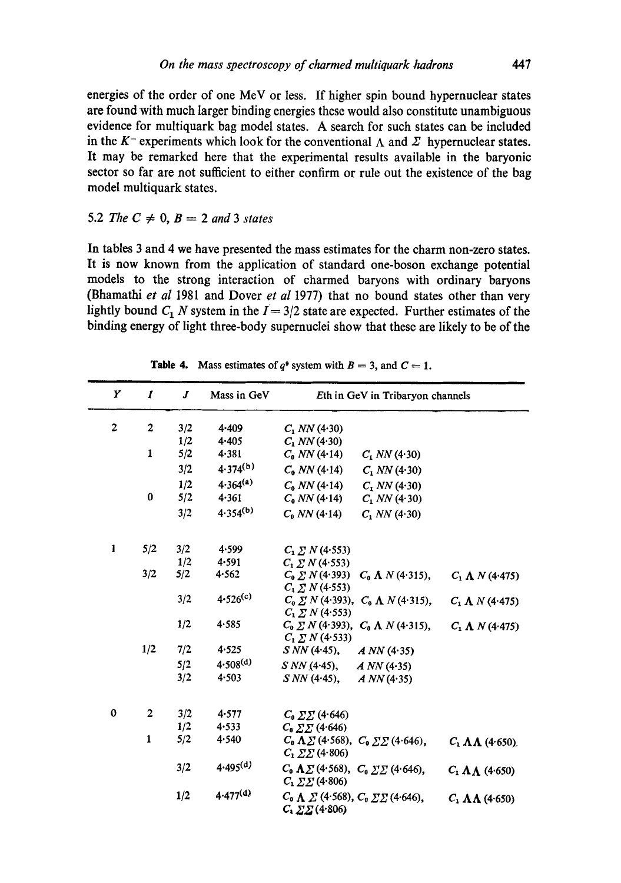energies of the order of one MeV or less. If higher spin bound hypernuclear states are found with much larger binding energies these would also constitute unambiguous evidence for multiquark bag model states. A search for such states can be included in the K<sup>-</sup> experiments which look for the conventional  $\Lambda$  and  $\Sigma$  hypernuclear states. It may be remarked here that the experimental results available in the baryonic sector so far are not sufficient to either confirm or rule out the existence of the bag model multiquark states.

## 5.2 *The*  $C \neq 0$ ,  $B = 2$  *and* 3 *states*

In tables 3 and 4 we have presented the mass estimates for the charm non-zero states. It is now known from the application of standard one-boson exchange potential models to the strong interaction of charmed baryons with ordinary baryons (Bhamathi *et al* 1981 and Dover *et al* 1977) that no bound states other than very lightly bound  $C_1$  N system in the  $I = 3/2$  state are expected. Further estimates of the binding energy of light three-body supernuclei show that these are likely to be of the

| Y        | $\boldsymbol{I}$        | J   | Mass in GeV   | Eth in GeV in Tribaryon channels                                                          |                                |
|----------|-------------------------|-----|---------------|-------------------------------------------------------------------------------------------|--------------------------------|
| 2        | $\boldsymbol{2}$        | 3/2 | 4.409         | $C_1$ NN (4.30)                                                                           |                                |
|          |                         | 1/2 | 4.405         | $C_1 NN(4.30)$                                                                            |                                |
|          | $\mathbf{1}$            | 5/2 | 4.381         | $C_0$ NN (4.14)<br>$C_1 NN(4.30)$                                                         |                                |
|          |                         | 3/2 | $4.374^{(b)}$ | $C_0$ NN (4.14)<br>$C_1 NN(4.30)$                                                         |                                |
|          |                         | 1/2 | $4.364^{(a)}$ | $C_0$ NN (4.14)<br>$C_1 NN(4.30)$                                                         |                                |
|          | 0                       | 5/2 | 4.361         | $C_0 NN(4.14)$<br>$C_1 NN(4.30)$                                                          |                                |
|          |                         | 3/2 | $4.354^{(b)}$ | $C_0$ NN (4.14)<br>$C_1$ NN (4.30)                                                        |                                |
| 1        | 5/2                     | 3/2 | 4.599         | $C_1 \Sigma N (4.553)$                                                                    |                                |
|          |                         | 1/2 | 4.591         | $C_1 \Sigma N (4.553)$                                                                    |                                |
|          | 3/2                     | 5/2 | 4.562         | $C_0 \sum N(4.393)$<br>$C_0 \Lambda N(4.315)$ ,                                           | $C_1 \Lambda N$ (4.475)        |
|          |                         |     |               | $C_1 \Sigma N (4.553)$                                                                    |                                |
|          |                         | 3/2 | $4.526^{(c)}$ | $C_0 \Sigma N$ (4.393), $C_0 \Lambda N$ (4.315),<br>$C_1 \sum N(4.553)$                   | $C_1 \Lambda N$ (4.475)        |
|          |                         | 1/2 | 4.585         | $C_0 \sum N$ (4.393), $C_0 \Lambda N$ (4.315),                                            | $C_1 \Lambda N (4.475)$        |
|          |                         |     |               | $C_1 \Sigma N (4.533)$                                                                    |                                |
|          | 1/2                     | 7/2 | 4.525         | $SNN(4.45)$ ,<br>A NN(4.35)                                                               |                                |
|          |                         | 5/2 | $4.508^{(d)}$ | $SNN(4.45)$ ,<br>A NN(4.35)                                                               |                                |
|          |                         | 3/2 | 4.503         | $SNN(4.45)$ ,<br>A NN(4.35)                                                               |                                |
| $\bf{0}$ | $\overline{\mathbf{2}}$ | 3/2 | 4.577         | $C_0 \Sigma \Sigma$ (4.646)                                                               |                                |
|          |                         | 1/2 | 4.533         | $C_0 \Sigma \Sigma$ (4.646)                                                               |                                |
|          | 1                       | 5/2 | 4.540         | $C_0 \Lambda \Sigma$ (4.568), $C_0 \Sigma \Sigma$ (4.646),                                | $C_1 \Lambda \Lambda$ (4.650). |
|          |                         |     |               | $C_1 \Sigma \Sigma (4.806)$                                                               |                                |
|          |                         | 3/2 | $4.495^{(d)}$ | $C_0 \Lambda \Sigma$ (4.568), $C_0 \Sigma \Sigma$ (4.646),<br>$C_1 \Sigma \Sigma$ (4.806) | $C_1 \Lambda \Lambda$ (4.650)  |
|          |                         | 1/2 | $4.477^{(d)}$ | $C_0 \Lambda \Sigma$ (4.568), $C_0 \Sigma \Sigma$ (4.646),<br>$C_1 \Sigma \Sigma (4.806)$ | $C_1 \Lambda \Lambda$ (4.650)  |

**Table 4.** Mass estimates of  $q^9$  system with  $B = 3$ , and  $C = 1$ .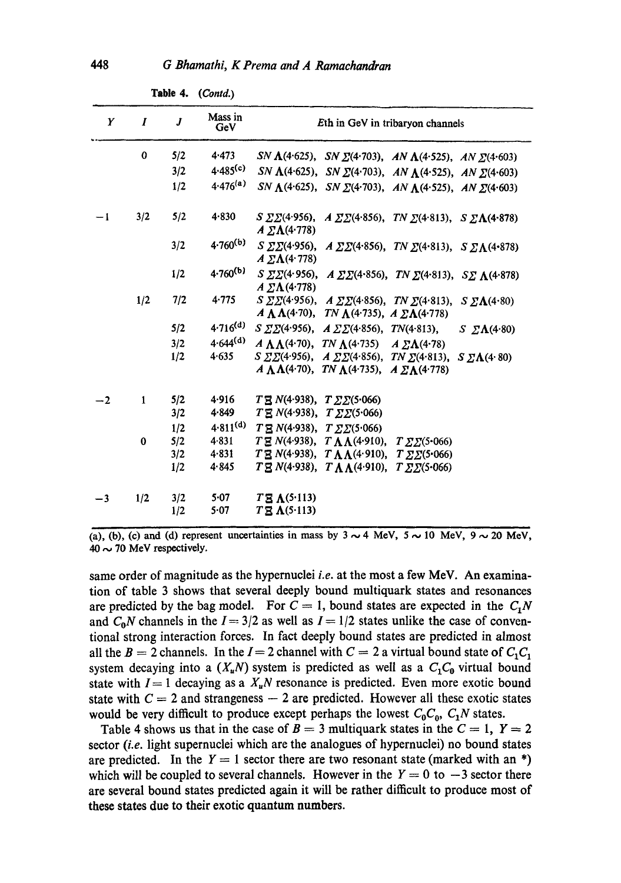| Y    | I            | $\boldsymbol{J}$ | Mass in<br>GeV       | Eth in GeV in tribaryon channels                                                                                                                                                        |
|------|--------------|------------------|----------------------|-----------------------------------------------------------------------------------------------------------------------------------------------------------------------------------------|
|      | 0            | 5/2              | 4.473                | SN $\Lambda$ (4.625), SN $\Sigma$ (4.703), AN $\Lambda$ (4.525), AN $\Sigma$ (4.603)                                                                                                    |
|      |              | 3/2              | 4.485 <sup>(c)</sup> | SN $\Lambda$ (4.625), SN $\Sigma$ (4.703), AN $\Lambda$ (4.525), AN $\Sigma$ (4.603)                                                                                                    |
|      |              | 1/2              | $4.476^{(a)}$        | SN $\Lambda$ (4.625), SN $\Sigma$ (4.703), AN $\Lambda$ (4.525), AN $\Sigma$ (4.603)                                                                                                    |
| $-1$ | 3/2          | 5/2              | 4.830                | S $\Sigma\Sigma(4.956)$ , A $\Sigma\Sigma(4.856)$ , TN $\Sigma(4.813)$ , S $\Sigma\Lambda(4.878)$<br>$A \Sigma \Lambda (4.778)$                                                         |
|      |              | 3/2              | $4.760^{(b)}$        | S $\Sigma\Sigma(4.956)$ , $A \Sigma\Sigma(4.856)$ , TN $\Sigma(4.813)$ , S $\Sigma\Lambda(4.878)$<br>$A \Sigma \Lambda$ (4.778)                                                         |
|      |              | 1/2              | $4.760^{(b)}$        | S $\Sigma\Sigma(4.956)$ , $A \Sigma\Sigma(4.856)$ , TN $\Sigma(4.813)$ , S $\Sigma \Lambda(4.878)$<br>$A \Sigma \Lambda (4.778)$                                                        |
|      | 1/2          | 7/2              | 4.775                | $S \Sigma \Sigma (4.956)$ , $A \Sigma \Sigma (4.856)$ , TN $\Sigma (4.813)$ , $S \Sigma \Lambda (4.80)$<br>$A \Lambda \Lambda$ (4.70), TN $\Lambda$ (4.735), $A \Sigma \Lambda$ (4.778) |
|      |              | 5/2              | $4.716^{(d)}$        | S $\Sigma\Sigma(4.956)$ , $A \Sigma\Sigma(4.856)$ , TN(4.813),<br>$S \Sigma \Lambda (4.80)$                                                                                             |
|      |              | 3/2              | $4.644^{(d)}$        | $A \Lambda \Lambda$ (4.70), TN $\Lambda$ (4.735) $A \Sigma \Lambda$ (4.78)                                                                                                              |
|      |              | 1/2              | 4.635                | S $\Sigma\Sigma(4.956)$ , $A \Sigma\Sigma(4.856)$ , TN $\Sigma(4.813)$ , S $\Sigma\Lambda(4.80)$<br>$A \Lambda \Lambda$ (4.70), TN $\Lambda$ (4.735), $A \Sigma \Lambda$ (4.778)        |
| $-2$ | $\mathbf{1}$ | 5/2              | 4.916                | $T \to N(4.938), T \Sigma (5.066)$                                                                                                                                                      |
|      |              | 3/2              | 4.849                | $T \to N(4.938)$ , $T \Sigma\Sigma(5.066)$                                                                                                                                              |
|      |              | 1/2              | $4.811^{(d)}$        | $T \mathbb{E} N(4.938), T \mathbb{Z} \mathbb{E} (5.066)$                                                                                                                                |
|      | $\bf{0}$     | 5/2              | 4.831                | $T \equiv N(4.938), T \Lambda \Lambda (4.910), T \Sigma \Sigma (5.066)$                                                                                                                 |
|      |              | 3/2<br>1/2       | 4.831<br>4.845       | $T \mathbf{B} N(4.938), T \Lambda \Lambda (4.910), T \Sigma \Sigma (5.066)$<br>$T \cancel{B} N(4.938), T \Lambda \Lambda(4.910), T \cancel{2} \cancel{2} (5.066)$                       |
| -3   | 1/2          | 3/2<br>1/2       | 5-07<br>5.07         | $T\bar{\mathbf{B}}$ $\Lambda$ (5.113)<br>$T \mathbb{E} \Lambda$ (5.113)                                                                                                                 |

**Table** 4. *(Contd.)* 

(a), (b), (c) and (d) represent uncertainties in mass by  $3 \sim 4$  MeV,  $5 \sim 10$  MeV,  $9 \sim 20$  MeV,  $40 \sim 70$  MeV respectively.

same order of magnitude as the hypernuclei *i.e.* at the most a few MeV. An examination of table 3 shows that several deeply hound multiquark states and resonances are predicted by the bag model. For  $C = 1$ , bound states are expected in the  $C_1N$ and  $C_0N$  channels in the  $I = 3/2$  as well as  $I = 1/2$  states unlike the case of conventional strong interaction forces. In fact deeply bound states are predicted in almost all the  $B = 2$  channels. In the  $I = 2$  channel with  $C = 2$  a virtual bound state of  $C_1C_1$ system decaying into a  $(X_u N)$  system is predicted as well as a  $C_1 C_0$  virtual bound state with  $I = 1$  decaying as a  $X_uN$  resonance is predicted. Even more exotic bound state with  $C = 2$  and strangeness  $-2$  are predicted. However all these exotic states would be very difficult to produce except perhaps the lowest  $C_0C_0$ ,  $C_1N$  states.

Table 4 shows us that in the case of  $B = 3$  multiquark states in the  $C = 1$ ,  $Y = 2$ sector *(i.e.* light supernuclei which are the analogues of hypernuclei) no bound states are predicted. In the  $Y = 1$  sector there are two resonant state (marked with an \*) which will be coupled to several channels. However in the  $Y = 0$  to  $-3$  sector there are several bound states predicted again it will be rather difficult to produce most of **these** states due to their exotic quantum numbers.